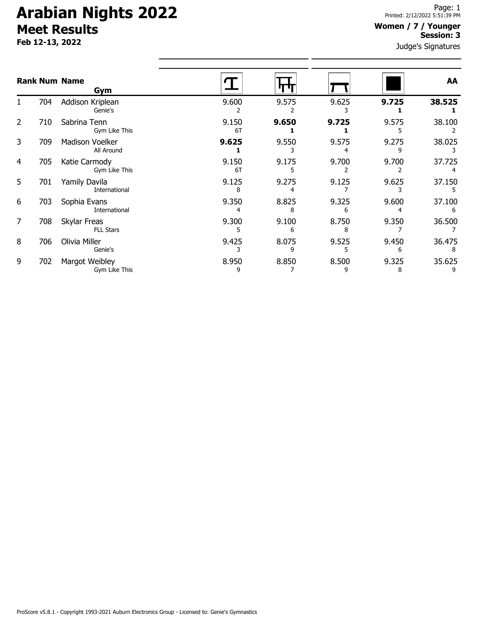# **Arabian Nights 2022 Meet Results**

**Feb 12-13, 2022**

### **Women / 7 / Younger Session: 3**

Judge's Signatures

| <b>Rank Num Name</b> |     | Gym                              |             |            |            |            | AA          |
|----------------------|-----|----------------------------------|-------------|------------|------------|------------|-------------|
|                      | 704 | Addison Kriplean<br>Genie's      | 9.600       | 9.575      | 9.625      | 9.725      | 38.525      |
| 2                    | 710 | Sabrina Tenn<br>Gym Like This    | 9.150<br>6T | 9.650      | 9.725      | 9.575      | 38.100      |
| 3                    | 709 | Madison Voelker<br>All Around    | 9.625       | 9.550      | 9.575      | 9.275      | 38.025      |
| 4                    | 705 | Katie Carmody<br>Gym Like This   | 9.150<br>6T | 9.175      | 9.700      | 9.700      | 37.725      |
| 5                    | 701 | Yamily Davila<br>International   | 9.125<br>8  | 9.275      | 9.125      | 9.625      | 37.150      |
| 6                    | 703 | Sophia Evans<br>International    | 9.350       | 8.825<br>8 | 9.325<br>6 | 9.600      | 37.100      |
| 7                    | 708 | Skylar Freas<br><b>FLL Stars</b> | 9.300       | 9.100<br>6 | 8.750      | 9.350      | 36.500      |
| 8                    | 706 | Olivia Miller<br>Genie's         | 9.425       | 8.075<br>9 | 9.525      | 9.450<br>6 | 36.475<br>8 |
| 9                    | 702 | Margot Weibley<br>Gym Like This  | 8.950<br>9  | 8.850      | 8.500<br>9 | 9.325<br>8 | 35.625      |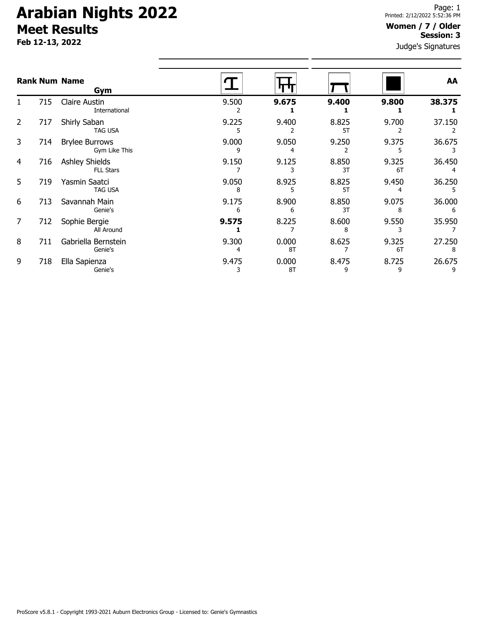# **Arabian Nights 2022 Meet Results**

**Feb 12-13, 2022**

### **Women / 7 / Older Session: 3**

Judge's Signatures

| <b>Rank Num Name</b> |     | Gym                                       |            |             |             |             | AA          |  |
|----------------------|-----|-------------------------------------------|------------|-------------|-------------|-------------|-------------|--|
|                      | 715 | <b>Claire Austin</b><br>International     | 9.500      | 9.675       | 9.400       | 9.800       | 38.375      |  |
| $\overline{2}$       | 717 | Shirly Saban<br><b>TAG USA</b>            | 9.225      | 9.400       | 8.825<br>5T | 9.700       | 37.150      |  |
| 3                    | 714 | <b>Brylee Burrows</b><br>Gym Like This    | 9.000<br>٩ | 9.050       | 9.250       | 9.375       | 36.675      |  |
| 4                    | 716 | <b>Ashley Shields</b><br><b>FLL Stars</b> | 9.150      | 9.125       | 8.850<br>3T | 9.325<br>6T | 36.450      |  |
| 5                    | 719 | Yasmin Saatci<br><b>TAG USA</b>           | 9.050<br>8 | 8.925       | 8.825<br>5T | 9.450       | 36.250      |  |
| 6                    | 713 | Savannah Main<br>Genie's                  | 9.175<br>6 | 8.900<br>6  | 8.850<br>3T | 9.075<br>8  | 36.000<br>6 |  |
| $\overline{7}$       | 712 | Sophie Bergie<br>All Around               | 9.575      | 8.225       | 8.600       | 9.550       | 35.950      |  |
| 8                    | 711 | Gabriella Bernstein<br>Genie's            | 9.300<br>4 | 0.000<br>8T | 8.625       | 9.325<br>6T | 27.250<br>8 |  |
| 9                    | 718 | Ella Sapienza<br>Genie's                  | 9.475      | 0.000<br>8T | 8.475<br>9  | 8.725<br>9  | 26.675<br>9 |  |